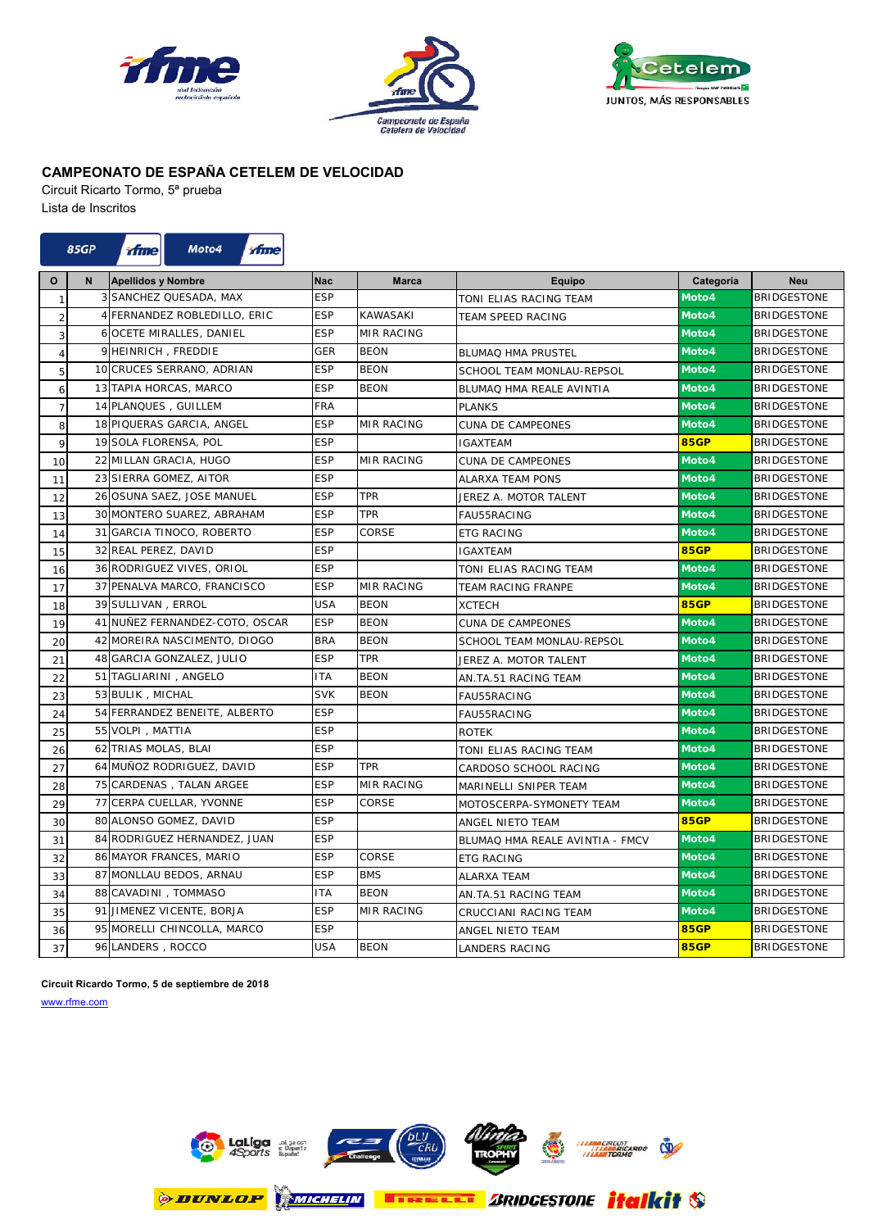





Circuit Ricarto Tormo, 5ª prueba Lista de Inscritos



| $\mathbf{o}$   | $\mathsf{N}$ | <b>Apellidos y Nombre</b>       | <b>Nac</b> | <b>Marca</b>      | Equipo                          | Categoría   | <b>Neu</b>         |
|----------------|--------------|---------------------------------|------------|-------------------|---------------------------------|-------------|--------------------|
| $\mathbf{1}$   |              | <b>3 SANCHEZ QUESADA, MAX</b>   | <b>ESP</b> |                   | TONI ELIAS RACING TEAM          | Moto4       | <b>BRIDGESTONE</b> |
| $\overline{c}$ |              | 4 FERNANDEZ ROBLEDILLO, ERIC    | <b>ESP</b> | <b>KAWASAKI</b>   | <b>TEAM SPEED RACING</b>        | Moto4       | <b>BRIDGESTONE</b> |
| 3              |              | <b>6 OCETE MIRALLES, DANIEL</b> | <b>ESP</b> | <b>MIR RACING</b> |                                 | Moto4       | <b>BRIDGESTONE</b> |
| $\overline{4}$ |              | 9 HEINRICH, FREDDIE             | GER        | <b>BEON</b>       | <b>BLUMAQ HMA PRUSTEL</b>       | Moto4       | <b>BRIDGESTONE</b> |
| 5              |              | 10 CRUCES SERRANO, ADRIAN       | <b>ESP</b> | <b>BEON</b>       | SCHOOL TEAM MONLAU-REPSOL       | Moto4       | <b>BRIDGESTONE</b> |
| 6              |              | 13 TAPIA HORCAS, MARCO          | <b>ESP</b> | <b>BEON</b>       | BLUMAQ HMA REALE AVINTIA        | Moto4       | <b>BRIDGESTONE</b> |
| $\overline{7}$ |              | 14 PLANQUES, GUILLEM            | <b>FRA</b> |                   | <b>PLANKS</b>                   | Moto4       | <b>BRIDGESTONE</b> |
| 8              |              | 18 PIQUERAS GARCIA, ANGEL       | <b>ESP</b> | MIR RACING        | CUNA DE CAMPEONES               | Moto4       | <b>BRIDGESTONE</b> |
| 9              |              | 19 SOLA FLORENSA, POL           | <b>ESP</b> |                   | <b>IGAXTEAM</b>                 | <b>85GP</b> | <b>BRIDGESTONE</b> |
| 10             |              | 22 MILLAN GRACIA, HUGO          | <b>ESP</b> | <b>MIR RACING</b> | CUNA DE CAMPEONES               | Moto4       | <b>BRIDGESTONE</b> |
| 11             |              | 23 SIERRA GOMEZ, AITOR          | <b>ESP</b> |                   | ALARXA TEAM PONS                | Moto4       | <b>BRIDGESTONE</b> |
| 12             |              | 26 OSUNA SAEZ, JOSE MANUEL      | <b>ESP</b> | TPR               | JEREZ A. MOTOR TALENT           | Moto4       | <b>BRIDGESTONE</b> |
| 13             |              | 30 MONTERO SUAREZ, ABRAHAM      | <b>ESP</b> | <b>TPR</b>        | FAU55RACING                     | Moto4       | <b>BRIDGESTONE</b> |
| 14             |              | 31 GARCIA TINOCO, ROBERTO       | <b>ESP</b> | CORSE             | <b>ETG RACING</b>               | Moto4       | <b>BRIDGESTONE</b> |
| 15             |              | 32 REAL PEREZ, DAVID            | <b>ESP</b> |                   | <b>IGAXTEAM</b>                 | <b>85GP</b> | <b>BRIDGESTONE</b> |
| 16             |              | 36 RODRIGUEZ VIVES, ORIOL       | <b>ESP</b> |                   | TONI ELIAS RACING TEAM          | Moto4       | <b>BRIDGESTONE</b> |
| 17             |              | 37 PENALVA MARCO, FRANCISCO     | <b>ESP</b> | <b>MIR RACING</b> | <b>TEAM RACING FRANPE</b>       | Moto4       | <b>BRIDGESTONE</b> |
| 18             |              | 39 SULLIVAN, ERROL              | <b>USA</b> | <b>BEON</b>       | <b>XCTECH</b>                   | <b>85GP</b> | <b>BRIDGESTONE</b> |
| 19             |              | 41 NUÑEZ FERNANDEZ-COTO, OSCAR  | <b>ESP</b> | <b>BEON</b>       | CUNA DE CAMPEONES               | Moto4       | <b>BRIDGESTONE</b> |
| 20             |              | 42 MOREIRA NASCIMENTO, DIOGO    | <b>BRA</b> | <b>BEON</b>       | SCHOOL TEAM MONLAU-REPSOL       | Moto4       | <b>BRIDGESTONE</b> |
| 21             |              | 48 GARCIA GONZALEZ, JULIO       | <b>ESP</b> | <b>TPR</b>        | JEREZ A. MOTOR TALENT           | Moto4       | <b>BRIDGESTONE</b> |
| 22             |              | 51 TAGLIARINI, ANGELO           | <b>ITA</b> | <b>BEON</b>       | AN.TA.51 RACING TEAM            | Moto4       | <b>BRIDGESTONE</b> |
| 23             |              | 53 BULIK, MICHAL                | <b>SVK</b> | <b>BEON</b>       | FAU55RACING                     | Moto4       | <b>BRIDGESTONE</b> |
| 24             |              | 54 FERRANDEZ BENEITE, ALBERTO   | <b>ESP</b> |                   | <b>FAU55RACING</b>              | Moto4       | <b>BRIDGESTONE</b> |
| 25             |              | 55 VOLPI, MATTIA                | <b>ESP</b> |                   | <b>ROTEK</b>                    | Moto4       | <b>BRIDGESTONE</b> |
| 26             |              | 62 TRIAS MOLAS, BLAI            | <b>ESP</b> |                   | TONI ELIAS RACING TEAM          | Moto4       | <b>BRIDGESTONE</b> |
| 27             |              | 64 MUÑOZ RODRIGUEZ, DAVID       | <b>ESP</b> | TPR               | CARDOSO SCHOOL RACING           | Moto4       | <b>BRIDGESTONE</b> |
| 28             |              | 75 CARDENAS, TALAN ARGEE        | <b>ESP</b> | <b>MIR RACING</b> | MARINELLI SNIPER TEAM           | Moto4       | <b>BRIDGESTONE</b> |
| 29             |              | 77 CERPA CUELLAR, YVONNE        | <b>ESP</b> | CORSE             | MOTOSCERPA-SYMONETY TEAM        | Moto4       | <b>BRIDGESTONE</b> |
| 30             |              | 80 ALONSO GOMEZ, DAVID          | <b>ESP</b> |                   | ANGEL NIETO TEAM                | <b>85GP</b> | <b>BRIDGESTONE</b> |
| 31             |              | 84 RODRIGUEZ HERNANDEZ, JUAN    | <b>ESP</b> |                   | BLUMAQ HMA REALE AVINTIA - FMCV | Moto4       | <b>BRIDGESTONE</b> |
| 32             |              | 86 MAYOR FRANCES, MARIO         | <b>ESP</b> | CORSE             | <b>ETG RACING</b>               | Moto4       | <b>BRIDGESTONE</b> |
| 33             |              | 87 MONLLAU BEDOS, ARNAU         | <b>ESP</b> | <b>BMS</b>        | <b>ALARXA TEAM</b>              | Moto4       | <b>BRIDGESTONE</b> |
| 34             |              | 88 CAVADINI, TOMMASO            | <b>ITA</b> | <b>BEON</b>       | AN.TA.51 RACING TEAM            | Moto4       | <b>BRIDGESTONE</b> |
| 35             |              | 91 JIMENEZ VICENTE, BORJA       | <b>ESP</b> | <b>MIR RACING</b> | CRUCCIANI RACING TEAM           | Moto4       | <b>BRIDGESTONE</b> |
| 36             |              | 95 MORELLI CHINCOLLA, MARCO     | <b>ESP</b> |                   | ANGEL NIETO TEAM                | <b>85GP</b> | <b>BRIDGESTONE</b> |
| 37             |              | 96 LANDERS, ROCCO               | <b>USA</b> | <b>BEON</b>       | <b>LANDERS RACING</b>           | <b>85GP</b> | <b>BRIDGESTONE</b> |

**Circuit Ricardo Tormo, 5 de septiembre de 2018**

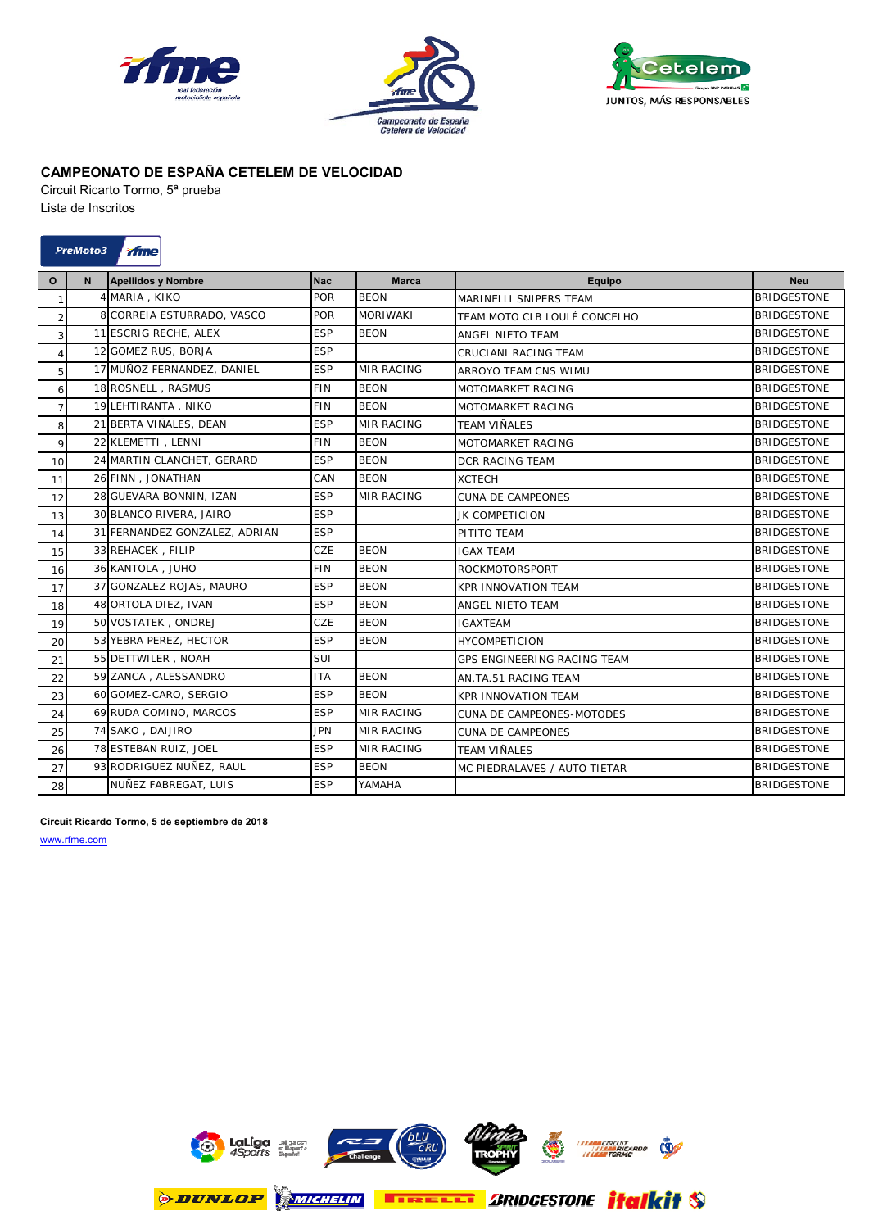





Circuit Ricarto Tormo, 5ª prueba Lista de Inscritos

| LISIA UU IIISUIIUS |  |  |
|--------------------|--|--|
|                    |  |  |
|                    |  |  |

| PreMoto3 | <b><i>Frime</i></b> |
|----------|---------------------|
|----------|---------------------|

| $\mathbf{o}$   | $\mathsf{N}$ | <b>Apellidos y Nombre</b>     | Nac        | <b>Marca</b>      | <b>Equipo</b>                | <b>Neu</b>         |
|----------------|--------------|-------------------------------|------------|-------------------|------------------------------|--------------------|
| $\mathbf{1}$   |              | 4 MARIA, KIKO                 | <b>POR</b> | <b>BEON</b>       | MARINELLI SNIPERS TEAM       | <b>BRIDGESTONE</b> |
| $\overline{2}$ |              | 8 CORREIA ESTURRADO, VASCO    | <b>POR</b> | <b>MORIWAKI</b>   | TEAM MOTO CLB LOULÉ CONCELHO | <b>BRIDGESTONE</b> |
| $\overline{3}$ |              | 11 ESCRIG RECHE, ALEX         | <b>ESP</b> | <b>BEON</b>       | ANGEL NIFTO TFAM             | <b>BRIDGESTONE</b> |
| $\overline{4}$ |              | 12 GOMEZ RUS, BORJA           | <b>ESP</b> |                   | CRUCIANI RACING TEAM         | <b>BRIDGESTONE</b> |
| 5              |              | 17 MUÑOZ FERNANDEZ, DANIEL    | <b>ESP</b> | <b>MIR RACING</b> | ARROYO TEAM CNS WIMU         | <b>BRIDGESTONE</b> |
| 6              |              | 18 ROSNELL, RASMUS            | <b>FIN</b> | <b>BFON</b>       | MOTOMARKET RACING            | <b>BRIDGESTONE</b> |
| $\overline{7}$ |              | 19 LEHTIRANTA, NIKO           | <b>FIN</b> | <b>BEON</b>       | MOTOMARKET RACING            | <b>BRIDGESTONE</b> |
| 8              |              | 21 BERTA VIÑALES, DEAN        | <b>ESP</b> | <b>MIR RACING</b> | <b>TEAM VIÑALES</b>          | <b>BRIDGESTONE</b> |
| 9              |              | 22 KLEMETTI, LENNI            | <b>FIN</b> | <b>BEON</b>       | MOTOMARKET RACING            | <b>BRIDGESTONE</b> |
| 10             |              | 24 MARTIN CLANCHET, GERARD    | <b>ESP</b> | <b>BEON</b>       | <b>DCR RACING TEAM</b>       | <b>BRIDGESTONE</b> |
| 11             |              | 26 FINN, JONATHAN             | CAN        | <b>BEON</b>       | <b>XCTECH</b>                | <b>BRIDGESTONE</b> |
| 12             |              | 28 GUEVARA BONNIN, IZAN       | <b>ESP</b> | <b>MIR RACING</b> | <b>CUNA DE CAMPEONES</b>     | <b>BRIDGESTONE</b> |
| 13             |              | 30 BLANCO RIVERA, JAIRO       | <b>ESP</b> |                   | JK COMPETICION               | <b>BRIDGESTONE</b> |
| 14             |              | 31 FERNANDEZ GONZALEZ, ADRIAN | <b>ESP</b> |                   | PITITO TEAM                  | <b>BRIDGESTONE</b> |
| 15             |              | 33 REHACEK, FILIP             | CZE        | <b>BEON</b>       | <b>IGAX TEAM</b>             | <b>BRIDGESTONE</b> |
| 16             |              | 36 KANTOLA, JUHO              | <b>FIN</b> | <b>BEON</b>       | <b>ROCKMOTORSPORT</b>        | <b>BRIDGESTONE</b> |
| 17             |              | 37 GONZALEZ ROJAS, MAURO      | <b>ESP</b> | <b>BEON</b>       | <b>KPR INNOVATION TEAM</b>   | <b>BRIDGESTONE</b> |
| 18             |              | 48 ORTOLA DIEZ, IVAN          | <b>ESP</b> | <b>BEON</b>       | ANGEL NIETO TEAM             | <b>BRIDGESTONE</b> |
| 19             |              | 50 VOSTATEK, ONDREJ           | <b>CZE</b> | <b>BEON</b>       | <b>IGAXTEAM</b>              | <b>BRIDGESTONE</b> |
| 20             |              | 53 YEBRA PEREZ, HECTOR        | <b>ESP</b> | <b>BEON</b>       | <b>HYCOMPETICION</b>         | <b>BRIDGESTONE</b> |
| 21             |              | 55 DETTWILER, NOAH            | SUI        |                   | GPS ENGINEERING RACING TEAM  | <b>BRIDGESTONE</b> |
| 22             |              | 59 ZANCA, ALESSANDRO          | <b>ITA</b> | <b>BEON</b>       | AN.TA.51 RACING TEAM         | <b>BRIDGESTONE</b> |
| 23             |              | 60 GOMEZ-CARO, SERGIO         | <b>ESP</b> | <b>BEON</b>       | <b>KPR INNOVATION TEAM</b>   | <b>BRIDGESTONE</b> |
| 24             |              | 69 RUDA COMINO, MARCOS        | <b>ESP</b> | <b>MIR RACING</b> | CUNA DE CAMPEONES-MOTODES    | <b>BRIDGESTONE</b> |
| 25             |              | 74 SAKO, DAIJIRO              | <b>JPN</b> | <b>MIR RACING</b> | <b>CUNA DE CAMPEONES</b>     | <b>BRIDGESTONE</b> |
| 26             |              | 78 ESTEBAN RUIZ, JOEL         | <b>ESP</b> | <b>MIR RACING</b> | <b>TEAM VIÑALES</b>          | <b>BRIDGESTONE</b> |
| 27             |              | 93 RODRIGUEZ NUÑEZ, RAUL      | <b>ESP</b> | <b>BEON</b>       | MC PIEDRALAVES / AUTO TIETAR | <b>BRIDGESTONE</b> |
| 28             |              | NUÑEZ FABREGAT, LUIS          | <b>ESP</b> | YAMAHA            |                              | <b>BRIDGESTONE</b> |

### **Circuit Ricardo Tormo, 5 de septiembre de 2018**

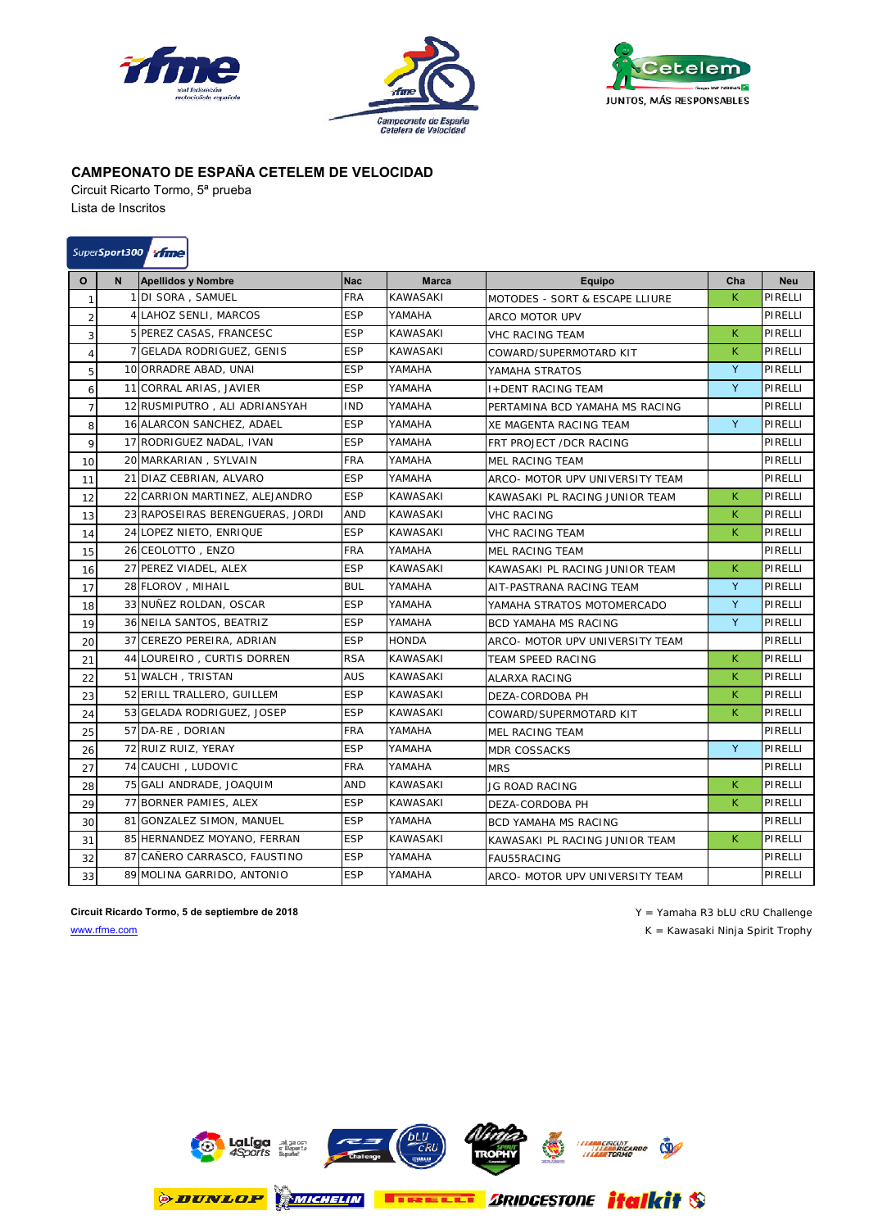





Circuit Ricarto Tormo, 5ª prueba Lista de Inscritos

# SuperSport300 *Mine*

| O                | N | <b>Apellidos y Nombre</b>        | <b>Nac</b> | <b>Marca</b>    | Equipo                          | Cha | <b>Neu</b> |
|------------------|---|----------------------------------|------------|-----------------|---------------------------------|-----|------------|
| $\mathbf{1}$     |   | 1 DI SORA, SAMUEL                | FRA        | KAWASAKI        | MOTODES - SORT & ESCAPE LLIURE  | K.  | PIRELLI    |
| $\overline{2}$   |   | 4 LAHOZ SENLI, MARCOS            | <b>ESP</b> | YAMAHA          | ARCO MOTOR UPV                  |     | PIRELLI    |
| 3                |   | 5 PEREZ CASAS, FRANCESC          | <b>ESP</b> | <b>KAWASAKI</b> | <b>VHC RACING TEAM</b>          | K   | PIRELLI    |
| $\overline{4}$   |   | 7 GELADA RODRIGUEZ, GENIS        | <b>ESP</b> | KAWASAKI        | COWARD/SUPERMOTARD KIT          | K.  | PIRELLI    |
| 5                |   | 10 ORRADRE ABAD, UNAI            | <b>ESP</b> | YAMAHA          | YAMAHA STRATOS                  | Y   | PIRELLI    |
| 6                |   | 11 CORRAL ARIAS, JAVIER          | <b>ESP</b> | YAMAHA          | <b>I+DENT RACING TEAM</b>       | Y   | PIRELLI    |
| $7 \overline{ }$ |   | 12 RUSMIPUTRO, ALI ADRIANSYAH    | <b>IND</b> | YAMAHA          | PERTAMINA BCD YAMAHA MS RACING  |     | PIRELLI    |
| 8                |   | 16 ALARCON SANCHEZ, ADAEL        | <b>ESP</b> | YAMAHA          | XE MAGENTA RACING TEAM          | Y   | PIRELLI    |
| 9                |   | 17 RODRIGUEZ NADAL, IVAN         | <b>ESP</b> | YAMAHA          | FRT PROJECT /DCR RACING         |     | PIRELLI    |
| 10               |   | 20 MARKARIAN, SYLVAIN            | FRA        | YAMAHA          | <b>MEL RACING TEAM</b>          |     | PIRELLI    |
| 11               |   | 21 DIAZ CEBRIAN, ALVARO          | <b>ESP</b> | YAMAHA          | ARCO- MOTOR UPV UNIVERSITY TEAM |     | PIRELLI    |
| 12               |   | 22 CARRION MARTINEZ, ALEJANDRO   | <b>ESP</b> | <b>KAWASAKI</b> | KAWASAKI PL RACING JUNIOR TEAM  | K.  | PIRELLI    |
| 13               |   | 23 RAPOSEIRAS BERENGUERAS, JORDI | <b>AND</b> | <b>KAWASAKI</b> | <b>VHC RACING</b>               | K.  | PIRELLI    |
| 14               |   | 24 LOPEZ NIETO, ENRIQUE          | <b>ESP</b> | <b>KAWASAKI</b> | <b>VHC RACING TEAM</b>          | K   | PIRELLI    |
| 15               |   | 26 CEOLOTTO, ENZO                | FRA        | YAMAHA          | <b>MEL RACING TEAM</b>          |     | PIRELLI    |
| 16               |   | 27 PEREZ VIADEL, ALEX            | <b>ESP</b> | KAWASAKI        | KAWASAKI PL RACING JUNIOR TEAM  | K.  | PIRELLI    |
| 17               |   | 28 FLOROV, MIHAIL                | <b>BUL</b> | YAMAHA          | AIT-PASTRANA RACING TEAM        | Y   | PIRELLI    |
| 18               |   | 33 NUÑEZ ROLDAN, OSCAR           | <b>ESP</b> | YAMAHA          | YAMAHA STRATOS MOTOMERCADO      | Y   | PIRELLI    |
| 19               |   | 36 NEILA SANTOS, BEATRIZ         | <b>ESP</b> | YAMAHA          | <b>BCD YAMAHA MS RACING</b>     | Y   | PIRELLI    |
| 20               |   | 37 CEREZO PEREIRA, ADRIAN        | <b>ESP</b> | <b>HONDA</b>    | ARCO- MOTOR UPV UNIVERSITY TEAM |     | PIRELLI    |
| 21               |   | 44 LOUREIRO, CURTIS DORREN       | <b>RSA</b> | <b>KAWASAKI</b> | <b>TEAM SPEED RACING</b>        | K.  | PIRELLI    |
| 22               |   | 51 WALCH, TRISTAN                | <b>AUS</b> | <b>KAWASAKI</b> | <b>ALARXA RACING</b>            | K.  | PIRELLI    |
| 23               |   | 52 ERILL TRALLERO, GUILLEM       | <b>ESP</b> | <b>KAWASAKI</b> | DEZA-CORDOBA PH                 | K.  | PIRELLI    |
| 24               |   | 53 GELADA RODRIGUEZ, JOSEP       | <b>ESP</b> | <b>KAWASAKI</b> | COWARD/SUPERMOTARD KIT          | K.  | PIRELLI    |
| 25               |   | 57 DA-RE, DORIAN                 | <b>FRA</b> | YAMAHA          | <b>MEL RACING TEAM</b>          |     | PIRELLI    |
| 26               |   | 72 RUIZ RUIZ, YERAY              | ESP        | YAMAHA          | <b>MDR COSSACKS</b>             | Y   | PIRELLI    |
| 27               |   | 74 CAUCHI, LUDOVIC               | <b>FRA</b> | YAMAHA          | <b>MRS</b>                      |     | PIRELLI    |
| 28               |   | 75 GALI ANDRADE, JOAQUIM         | AND        | <b>KAWASAKI</b> | JG ROAD RACING                  | K.  | PIRELLI    |
| 29               |   | 77 BORNER PAMIES, ALEX           | <b>ESP</b> | <b>KAWASAKI</b> | DEZA-CORDOBA PH                 | K.  | PIRELLI    |
| 30               |   | 81 GONZALEZ SIMON, MANUEL        | <b>ESP</b> | YAMAHA          | <b>BCD YAMAHA MS RACING</b>     |     | PIRELLI    |
| 31               |   | 85 HERNANDEZ MOYANO, FERRAN      | <b>ESP</b> | <b>KAWASAKI</b> | KAWASAKI PL RACING JUNIOR TEAM  | K.  | PIRELLI    |
| 32               |   | 87 CAÑERO CARRASCO. FAUSTINO     | <b>ESP</b> | YAMAHA          | FAU55RACING                     |     | PIRELLI    |
| 33               |   | 89 MOLINA GARRIDO, ANTONIO       | <b>ESP</b> | YAMAHA          | ARCO- MOTOR UPV UNIVERSITY TEAM |     | PIRELLI    |

**Circuit Ricardo Tormo, 5 de septiembre de 2018 Circuit Ricardo Tormo, 5 de septiembre de 2018 Y** = Yamaha R3 bLU cRU Challenge www.rfme.com K = Kawasaki Ninja Spirit Trophy

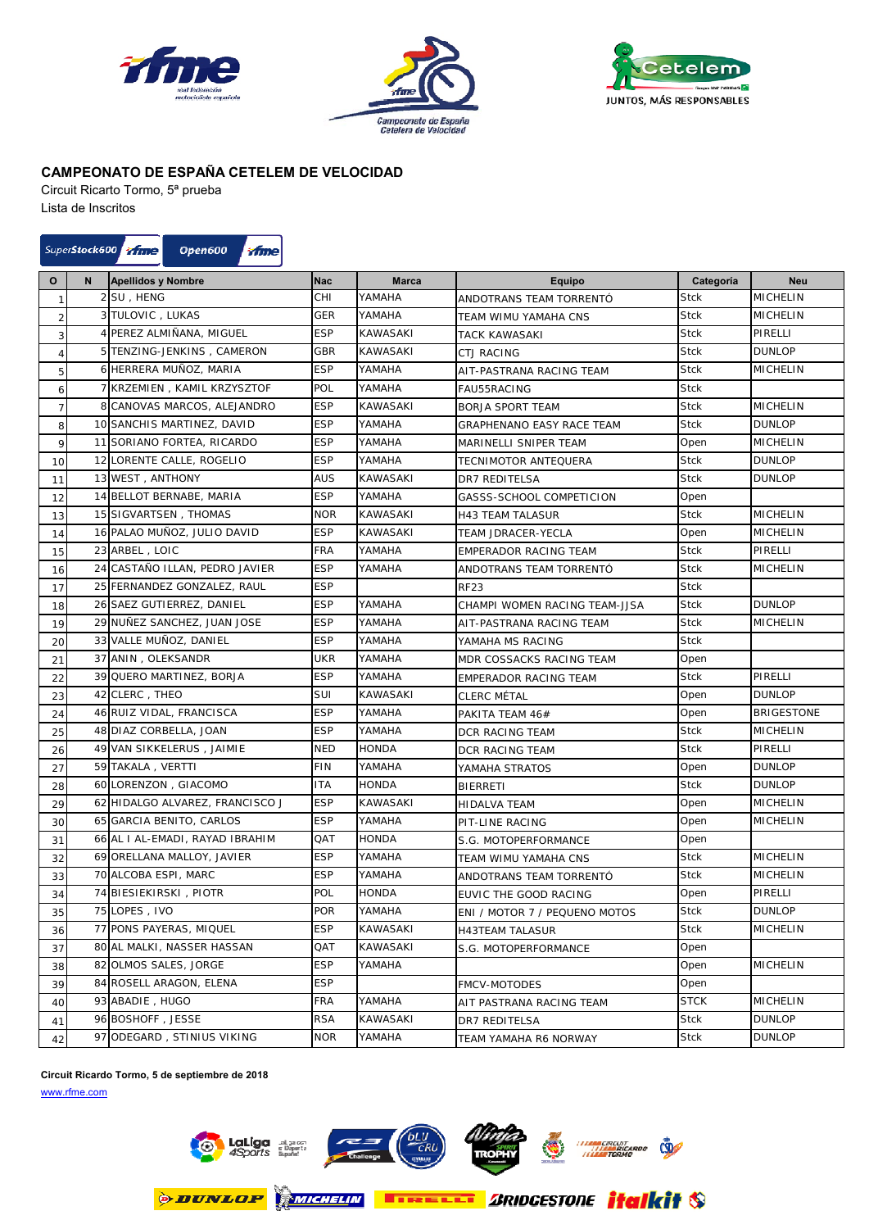





Circuit Ricarto Tormo, 5ª prueba

Lista de Inscritos

### SuperStock600 Time **Open600** ifme

| O              | N | <b>Apellidos y Nombre</b>       | <b>Nac</b> | <b>Marca</b>    | <b>Equipo</b>                    | Categoría   | <b>Neu</b>      |
|----------------|---|---------------------------------|------------|-----------------|----------------------------------|-------------|-----------------|
| 1              |   | 2 SU, HENG                      | CHI        | YAMAHA          | ANDOTRANS TEAM TORRENTÓ          | <b>Stck</b> | MICHELIN        |
| $\overline{2}$ |   | 3 TULOVIC, LUKAS                | <b>GER</b> | YAMAHA          | TEAM WIMU YAMAHA CNS             | <b>Stck</b> | <b>MICHELIN</b> |
| 3              |   | 4 PEREZ ALMIÑANA, MIGUEL        | <b>ESP</b> | <b>KAWASAKI</b> | <b>TACK KAWASAKI</b>             | <b>Stck</b> | PIRELLI         |
| 4              |   | 5 TENZING-JENKINS, CAMERON      | GBR        | <b>KAWASAKI</b> | <b>CTJ RACING</b>                | <b>Stck</b> | <b>DUNLOP</b>   |
| 5              |   | 6 HERRERA MUÑOZ, MARIA          | <b>ESP</b> | YAMAHA          | AIT-PASTRANA RACING TEAM         | <b>Stck</b> | MICHELIN        |
| 6              |   | 7 KRZEMIEN, KAMIL KRZYSZTOF     | POL        | YAMAHA          | FAU55RACING                      | <b>Stck</b> |                 |
| $\overline{7}$ |   | 8 CANOVAS MARCOS, ALEJANDRO     | <b>ESP</b> | KAWASAKI        | <b>BORJA SPORT TEAM</b>          | <b>Stck</b> | MICHELIN        |
| 8              |   | 10 SANCHIS MARTINEZ, DAVID      | <b>ESP</b> | YAMAHA          | <b>GRAPHENANO EASY RACE TEAM</b> | Stck        | <b>DUNLOP</b>   |
| 9              |   | 11 SORIANO FORTEA, RICARDO      | <b>ESP</b> | YAMAHA          | MARINELLI SNIPER TEAM            | Open        | MICHELIN        |
| 10             |   | 12 LORENTE CALLE, ROGELIO       | <b>ESP</b> | YAMAHA          | TECNIMOTOR ANTEQUERA             | Stck        | <b>DUNLOP</b>   |
| 11             |   | 13 WEST, ANTHONY                | AUS        | <b>KAWASAKI</b> | DR7 REDITELSA                    | <b>Stck</b> | <b>DUNLOP</b>   |
| 12             |   | 14 BELLOT BERNABE, MARIA        | <b>ESP</b> | YAMAHA          | GASSS-SCHOOL COMPETICION         | Open        |                 |
| 13             |   | 15 SIGVARTSEN, THOMAS           | <b>NOR</b> | KAWASAKI        | <b>H43 TEAM TALASUR</b>          | <b>Stck</b> | MICHELIN        |
| 14             |   | 16 PALAO MUÑOZ, JULIO DAVID     | <b>ESP</b> | KAWASAKI        | TEAM JDRACER-YECLA               | Open        | MICHELIN        |
| 15             |   | 23 ARBEL, LOIC                  | <b>FRA</b> | YAMAHA          | <b>EMPERADOR RACING TEAM</b>     | <b>Stck</b> | PIRELLI         |
| 16             |   | 24 CASTAÑO ILLAN, PEDRO JAVIER  | <b>ESP</b> | YAMAHA          | ANDOTRANS TEAM TORRENTÓ          | <b>Stck</b> | MICHELIN        |
| 17             |   | 25 FERNANDEZ GONZALEZ, RAUL     | <b>ESP</b> |                 | <b>RF23</b>                      | <b>Stck</b> |                 |
| 18             |   | 26 SAEZ GUTIERREZ, DANIEL       | <b>ESP</b> | YAMAHA          | CHAMPI WOMEN RACING TEAM-JJSA    | <b>Stck</b> | <b>DUNLOP</b>   |
| 19             |   | 29 NUÑEZ SANCHEZ, JUAN JOSE     | <b>ESP</b> | YAMAHA          | AIT-PASTRANA RACING TEAM         | <b>Stck</b> | <b>MICHELIN</b> |
| 20             |   | 33 VALLE MUÑOZ, DANIEL          | <b>ESP</b> | YAMAHA          | YAMAHA MS RACING                 | <b>Stck</b> |                 |
| 21             |   | 37 ANIN, OLEKSANDR              | UKR        | YAMAHA          | MDR COSSACKS RACING TEAM         | Open        |                 |
| 22             |   | 39 QUERO MARTINEZ, BORJA        | <b>ESP</b> | YAMAHA          | EMPERADOR RACING TEAM            | <b>Stck</b> | PIRELLI         |
| 23             |   | 42 CLERC, THEO                  | SUI        | <b>KAWASAKI</b> | CLERC MÉTAL                      | Open        | <b>DUNLOP</b>   |
| 24             |   | 46 RUIZ VIDAL, FRANCISCA        | <b>ESP</b> | YAMAHA          | PAKITA TEAM 46#                  | Open        | BRIGESTONE      |
| 25             |   | 48 DIAZ CORBELLA, JOAN          | <b>ESP</b> | YAMAHA          | DCR RACING TEAM                  | Stck        | MICHELIN        |
| 26             |   | 49 VAN SIKKELERUS, JAIMIE       | <b>NED</b> | <b>HONDA</b>    | DCR RACING TEAM                  | <b>Stck</b> | PIRELLI         |
| 27             |   | 59 TAKALA, VERTTI               | <b>FIN</b> | YAMAHA          | YAMAHA STRATOS                   | Open        | <b>DUNLOP</b>   |
| 28             |   | 60 LORENZON, GIACOMO            | <b>ITA</b> | <b>HONDA</b>    | <b>BIERRETI</b>                  | <b>Stck</b> | <b>DUNLOP</b>   |
| 29             |   | 62 HIDALGO ALVAREZ, FRANCISCO J | <b>ESP</b> | KAWASAKI        | <b>HIDALVA TEAM</b>              | Open        | MICHELIN        |
| 30             |   | 65 GARCIA BENITO, CARLOS        | <b>ESP</b> | YAMAHA          | PIT-LINE RACING                  | Open        | MICHELIN        |
| 31             |   | 66 AL I AL-EMADI, RAYAD IBRAHIM | QAT        | <b>HONDA</b>    | S.G. MOTOPERFORMANCE             | Open        |                 |
| 32             |   | 69 ORELLANA MALLOY, JAVIER      | <b>ESP</b> | YAMAHA          | TEAM WIMU YAMAHA CNS             | <b>Stck</b> | <b>MICHELIN</b> |
| 33             |   | 70 ALCOBA ESPI, MARC            | <b>ESP</b> | YAMAHA          | ANDOTRANS TEAM TORRENTÓ          | <b>Stck</b> | MICHELIN        |
| 34             |   | 74 BIESIEKIRSKI, PIOTR          | POL        | <b>HONDA</b>    | EUVIC THE GOOD RACING            | Open        | PIRELLI         |
| 35             |   | 75 LOPES, IVO                   | POR        | YAMAHA          | ENI / MOTOR 7 / PEQUENO MOTOS    | <b>Stck</b> | <b>DUNLOP</b>   |
| 36             |   | 77 PONS PAYERAS, MIQUEL         | <b>ESP</b> | <b>KAWASAKI</b> | <b>H43TEAM TALASUR</b>           | <b>Stck</b> | <b>MICHELIN</b> |
| 37             |   | 80 AL MALKI, NASSER HASSAN      | QAT        | KAWASAKI        | S.G. MOTOPERFORMANCE             | Open        |                 |
| 38             |   | 82 OLMOS SALES, JORGE           | <b>ESP</b> | YAMAHA          |                                  | Open        | <b>MICHELIN</b> |
| 39             |   | 84 ROSELL ARAGON, ELENA         | <b>ESP</b> |                 | <b>FMCV-MOTODES</b>              | Open        |                 |
| 40             |   | 93 ABADIE, HUGO                 | <b>FRA</b> | YAMAHA          | AIT PASTRANA RACING TEAM         | <b>STCK</b> | MICHELIN        |
| 41             |   | 96 BOSHOFF, JESSE               | <b>RSA</b> | KAWASAKI        | DR7 REDITELSA                    | <b>Stck</b> | <b>DUNLOP</b>   |
| 42             |   | 97 ODEGARD, STINIUS VIKING      | <b>NOR</b> | YAMAHA          | TEAM YAMAHA R6 NORWAY            | Stck        | <b>DUNLOP</b>   |

### **Circuit Ricardo Tormo, 5 de septiembre de 2018**

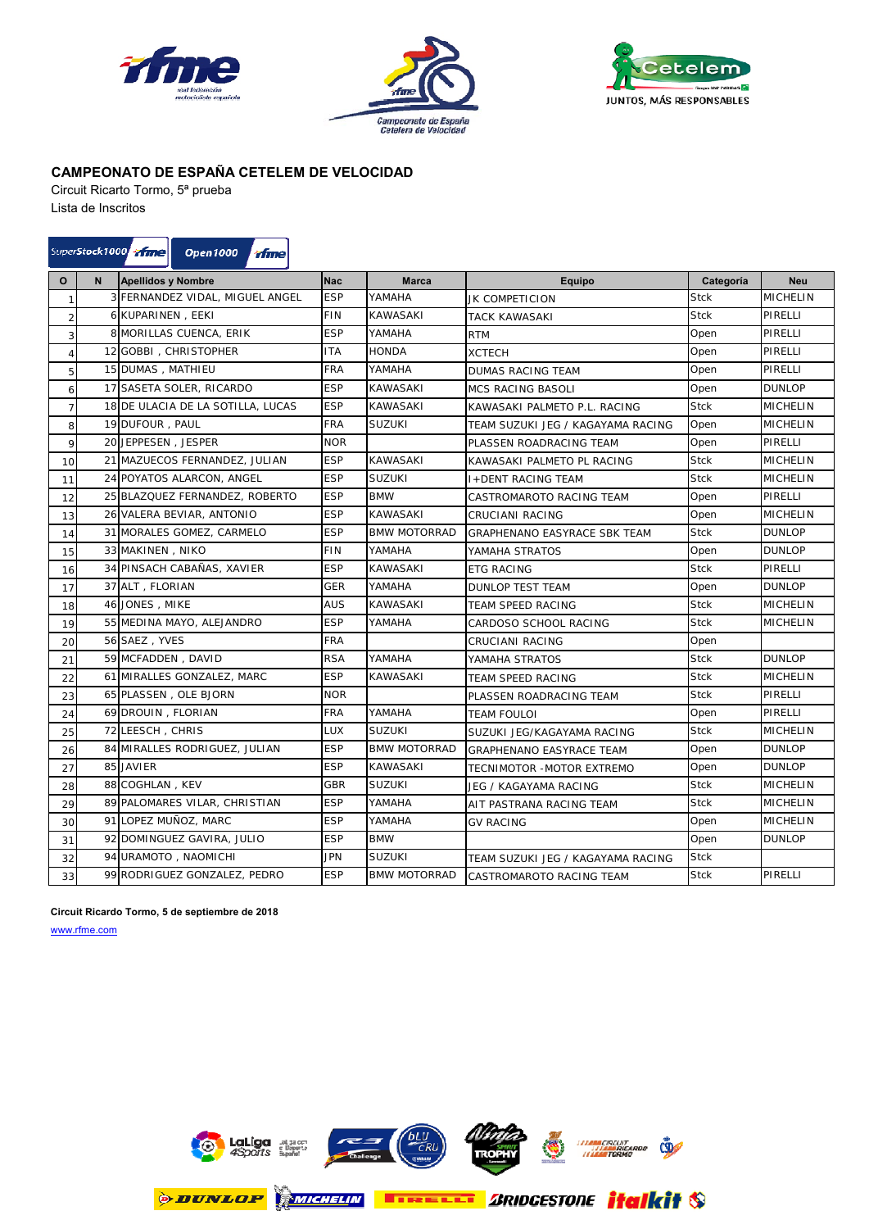





Circuit Ricarto Tormo, 5ª prueba Lista de Inscritos

#### SuperStock1000 11112 **Open1000** *d* fme

| $\mathbf{o}$   | N | <b>Apellidos y Nombre</b>         | <b>Nac</b> | <b>Marca</b>        | <b>Equipo</b>                     | Categoría   | <b>Neu</b>      |
|----------------|---|-----------------------------------|------------|---------------------|-----------------------------------|-------------|-----------------|
| $\mathbf{1}$   |   | 3 FERNANDEZ VIDAL, MIGUEL ANGEL   | <b>ESP</b> | YAMAHA              | JK COMPETICION                    | <b>Stck</b> | <b>MICHELIN</b> |
| $\overline{2}$ |   | 6 KUPARINEN, EEKI                 | <b>FIN</b> | <b>KAWASAKI</b>     | TACK KAWASAKI                     | <b>Stck</b> | PIRELLI         |
| 3              |   | 8 MORILLAS CUENCA, ERIK           | <b>ESP</b> | YAMAHA              | RTM                               | Open        | PIRELLI         |
| $\overline{4}$ |   | 12 GOBBI, CHRISTOPHER             | <b>ITA</b> | <b>HONDA</b>        | <b>XCTECH</b>                     | Open        | PIRELLI         |
| 5              |   | 15 DUMAS, MATHIEU                 | <b>FRA</b> | YAMAHA              | <b>DUMAS RACING TEAM</b>          | Open        | PIRELLI         |
| 6              |   | 17 SASETA SOLER, RICARDO          | <b>ESP</b> | <b>KAWASAKI</b>     | MCS RACING BASOLI                 | Open        | <b>DUNLOP</b>   |
| $\overline{7}$ |   | 18 DE ULACIA DE LA SOTILLA, LUCAS | <b>ESP</b> | <b>KAWASAKI</b>     | KAWASAKI PALMETO P.L. RACING      | <b>Stck</b> | <b>MICHELIN</b> |
| 8              |   | 19 DUFOUR, PAUL                   | <b>FRA</b> | <b>SUZUKI</b>       | TEAM SUZUKI JEG / KAGAYAMA RACING | Open        | MICHELIN        |
| 9              |   | 20 JEPPESEN, JESPER               | <b>NOR</b> |                     | PLASSEN ROADRACING TEAM           | Open        | PIRELLI         |
| 10             |   | 21 MAZUECOS FERNANDEZ, JULIAN     | <b>ESP</b> | KAWASAKI            | KAWASAKI PALMETO PL RACING        | <b>Stck</b> | <b>MICHELIN</b> |
| 11             |   | 24 POYATOS ALARCON, ANGEL         | <b>ESP</b> | <b>SUZUKI</b>       | I+DENT RACING TEAM                | <b>Stck</b> | <b>MICHELIN</b> |
| 12             |   | 25 BLAZQUEZ FERNANDEZ, ROBERTO    | <b>ESP</b> | <b>BMW</b>          | CASTROMAROTO RACING TEAM          | Open        | PIRELLI         |
| 13             |   | 26 VALERA BEVIAR, ANTONIO         | <b>ESP</b> | <b>KAWASAKI</b>     | <b>CRUCIANI RACING</b>            | Open        | <b>MICHELIN</b> |
| 14             |   | 31 MORALES GOMEZ, CARMELO         | <b>ESP</b> | <b>BMW MOTORRAD</b> | GRAPHENANO EASYRACE SBK TEAM      | <b>Stck</b> | <b>DUNLOP</b>   |
| 15             |   | 33 MAKINEN, NIKO                  | <b>FIN</b> | YAMAHA              | YAMAHA STRATOS                    | Open        | <b>DUNLOP</b>   |
| 16             |   | 34 PINSACH CABAÑAS, XAVIER        | <b>ESP</b> | KAWASAKI            | <b>ETG RACING</b>                 | <b>Stck</b> | PIRELLI         |
| 17             |   | 37 ALT, FLORIAN                   | <b>GER</b> | YAMAHA              | DUNLOP TEST TEAM                  | Open        | <b>DUNLOP</b>   |
| 18             |   | 46 JONES, MIKE                    | AUS        | <b>KAWASAKI</b>     | TEAM SPEED RACING                 | <b>Stck</b> | <b>MICHELIN</b> |
| 19             |   | 55 MEDINA MAYO, ALEJANDRO         | <b>ESP</b> | YAMAHA              | CARDOSO SCHOOL RACING             | <b>Stck</b> | <b>MICHELIN</b> |
| 20             |   | 56 SAEZ, YVES                     | <b>FRA</b> |                     | CRUCIANI RACING                   | Open        |                 |
| 21             |   | 59 MCFADDEN, DAVID                | <b>RSA</b> | YAMAHA              | YAMAHA STRATOS                    | <b>Stck</b> | <b>DUNLOP</b>   |
| 22             |   | 61 MIRALLES GONZALEZ, MARC        | <b>ESP</b> | <b>KAWASAKI</b>     | TEAM SPEED RACING                 | <b>Stck</b> | <b>MICHELIN</b> |
| 23             |   | 65 PLASSEN, OLE BJORN             | <b>NOR</b> |                     | PLASSEN ROADRACING TEAM           | <b>Stck</b> | PIRELLI         |
| 24             |   | 69 DROUIN, FLORIAN                | <b>FRA</b> | YAMAHA              | TEAM FOULOI                       | Open        | PIRELLI         |
| 25             |   | 72 LEESCH, CHRIS                  | LUX        | <b>SUZUKI</b>       | SUZUKI JEG/KAGAYAMA RACING        | <b>Stck</b> | MICHELIN        |
| 26             |   | 84 MIRALLES RODRIGUEZ, JULIAN     | <b>ESP</b> | <b>BMW MOTORRAD</b> | GRAPHENANO EASYRACE TEAM          | Open        | <b>DUNLOP</b>   |
| 27             |   | 85 JAVIER                         | <b>ESP</b> | KAWASAKI            | TECNIMOTOR -MOTOR EXTREMO         | Open        | <b>DUNLOP</b>   |
| 28             |   | 88 COGHLAN, KEV                   | <b>GBR</b> | <b>SUZUKI</b>       | JEG / KAGAYAMA RACING             | <b>Stck</b> | <b>MICHELIN</b> |
| 29             |   | 89 PALOMARES VILAR, CHRISTIAN     | <b>ESP</b> | YAMAHA              | AIT PASTRANA RACING TEAM          | <b>Stck</b> | MICHELIN        |
| 30             |   | 91 LOPEZ MUÑOZ, MARC              | <b>ESP</b> | YAMAHA              | <b>GV RACING</b>                  | Open        | <b>MICHELIN</b> |
| 31             |   | 92 DOMINGUEZ GAVIRA, JULIO        | <b>ESP</b> | <b>BMW</b>          |                                   | Open        | <b>DUNLOP</b>   |
| 32             |   | 94 URAMOTO, NAOMICHI              | <b>JPN</b> | <b>SUZUKI</b>       | TEAM SUZUKI JEG / KAGAYAMA RACING | <b>Stck</b> |                 |
| 33             |   | 99 RODRIGUEZ GONZALEZ, PEDRO      | <b>ESP</b> | <b>BMW MOTORRAD</b> | CASTROMAROTO RACING TEAM          | <b>Stck</b> | PIRELLI         |

**Circuit Ricardo Tormo, 5 de septiembre de 2018**